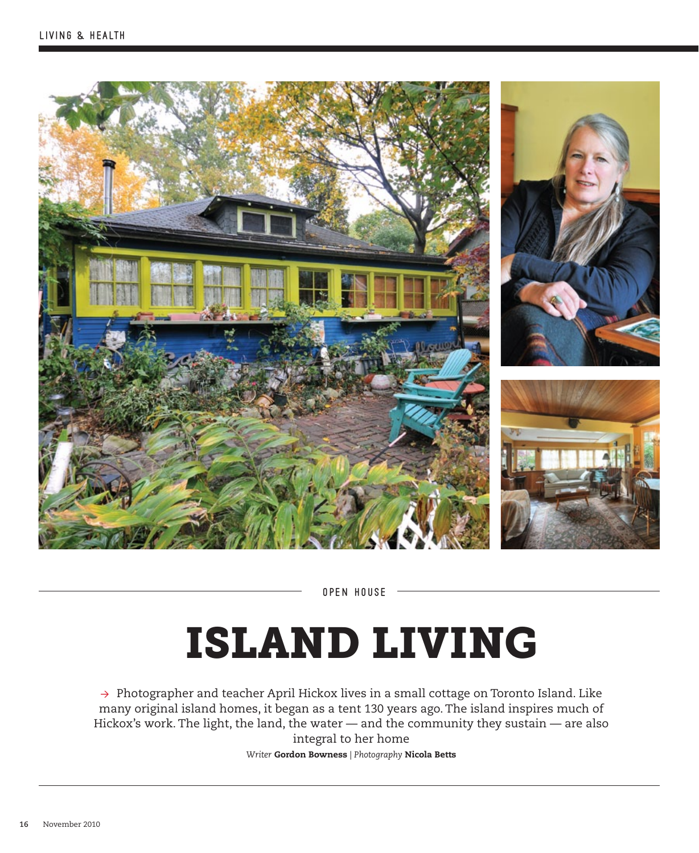

OPEN HOUSE

# ISLAND LIVING

→ Photographer and teacher April Hickox lives in a small cottage on Toronto Island. Like many original island homes, it began as a tent 130 years ago. The island inspires much of Hickox's work. The light, the land, the water — and the community they sustain — are also integral to her home

*Writer* Gordon Bowness *| Photography* Nicola Betts